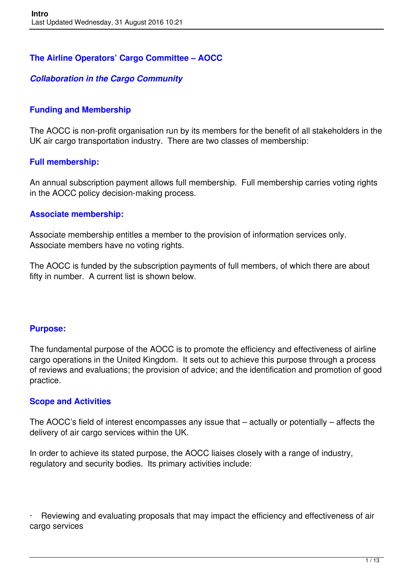### **The Airline Operators' Cargo Committee – AOCC**

#### *Collaboration in the Cargo Community*

#### **Funding and Membership**

The AOCC is non-profit organisation run by its members for the benefit of all stakeholders in the UK air cargo transportation industry. There are two classes of membership:

#### **Full membership:**

An annual subscription payment allows full membership. Full membership carries voting rights in the AOCC policy decision-making process.

#### **Associate membership:**

Associate membership entitles a member to the provision of information services only. Associate members have no voting rights.

The AOCC is funded by the subscription payments of full members, of which there are about fifty in number. A current list is shown below.

#### **Purpose:**

The fundamental purpose of the AOCC is to promote the efficiency and effectiveness of airline cargo operations in the United Kingdom. It sets out to achieve this purpose through a process of reviews and evaluations; the provision of advice; and the identification and promotion of good practice.

#### **Scope and Activities**

The AOCC's field of interest encompasses any issue that – actually or potentially – affects the delivery of air cargo services within the UK.

In order to achieve its stated purpose, the AOCC liaises closely with a range of industry, regulatory and security bodies. Its primary activities include:

Reviewing and evaluating proposals that may impact the efficiency and effectiveness of air cargo services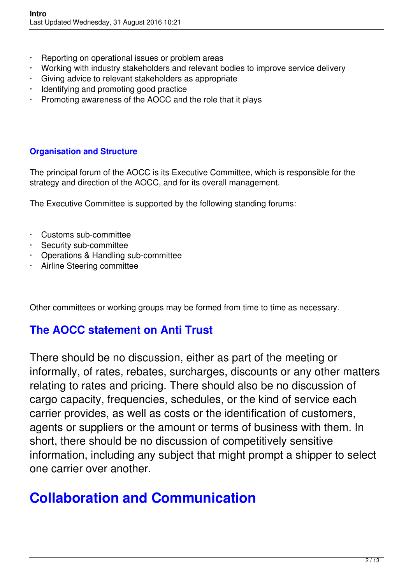- Reporting on operational issues or problem areas
- · Working with industry stakeholders and relevant bodies to improve service delivery
- · Giving advice to relevant stakeholders as appropriate
- Identifying and promoting good practice
- · Promoting awareness of the AOCC and the role that it plays

### **Organisation and Structure**

The principal forum of the AOCC is its Executive Committee, which is responsible for the strategy and direction of the AOCC, and for its overall management.

The Executive Committee is supported by the following standing forums:

- · Customs sub-committee
- · Security sub-committee
- · Operations & Handling sub-committee
- · Airline Steering committee

Other committees or working groups may be formed from time to time as necessary.

### **The AOCC statement on Anti Trust**

There should be no discussion, either as part of the meeting or informally, of rates, rebates, surcharges, discounts or any other matters relating to rates and pricing. There should also be no discussion of cargo capacity, frequencies, schedules, or the kind of service each carrier provides, as well as costs or the identification of customers, agents or suppliers or the amount or terms of business with them. In short, there should be no discussion of competitively sensitive information, including any subject that might prompt a shipper to select one carrier over another.

### **Collaboration and Communication**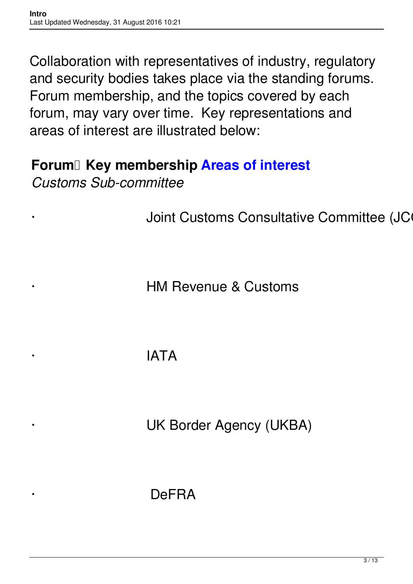Collaboration with representatives of industry, regulatory and security bodies takes place via the standing forums. Forum membership, and the topics covered by each forum, may vary over time. Key representations and areas of interest are illustrated below:

### **Forum Key membership Areas of interest**

*Customs Sub-committee*

Joint Customs Consultative Committee (JC

**HM Revenue & Customs** 

· IATA

UK Border Agency (UKBA)

· DeFRA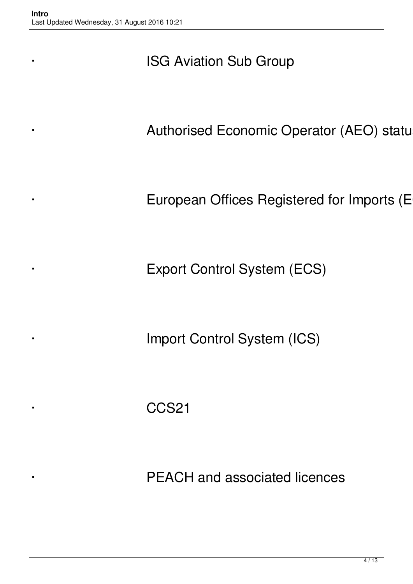### **ISG Aviation Sub Group**

Authorised Economic Operator (AEO) statu

European Offices Registered for Imports (E

Export Control System (ECS)

**Import Control System (ICS)** 

· CCS21

PEACH and associated licences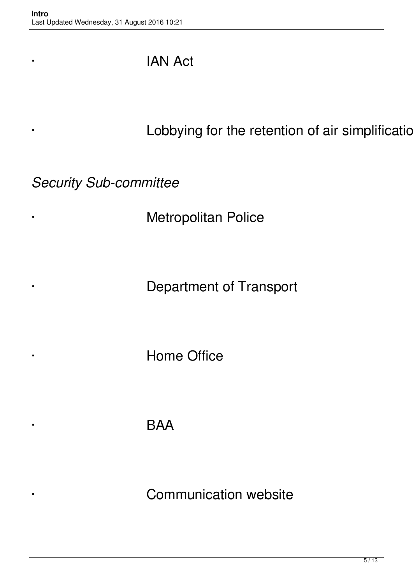### · IAN Act

· Lobbying for the retention of air simplificatic

*Security Sub-committee*

· Metropolitan Police

Department of Transport

· Home Office

· BAA

Communication website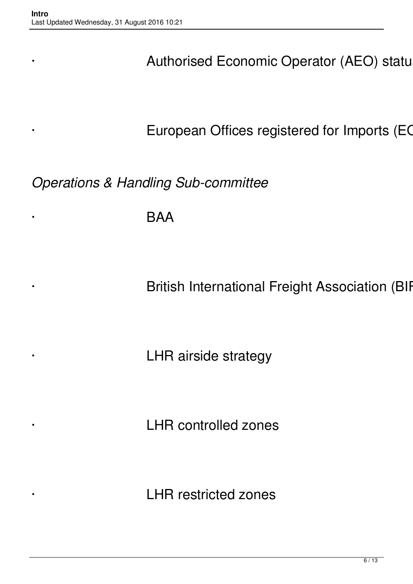Authorised Economic Operator (AEO) statu

European Offices registered for Imports (EC

*Operations & Handling Sub-committee*

· BAA

British International Freight Association (BIF

LHR airside strategy

LHR controlled zones

LHR restricted zones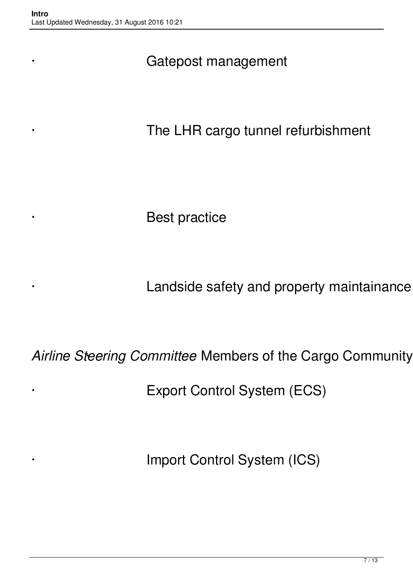### Gatepost management

The LHR cargo tunnel refurbishment

Best practice

Landside safety and property maintainance

Airline Steering Committee Members of the Cargo Community

Export Control System (ECS)

Import Control System (ICS)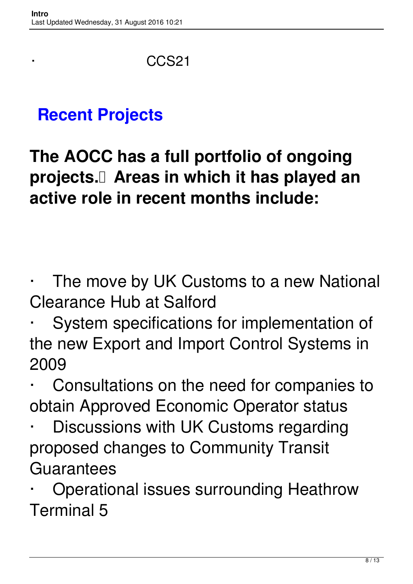CCS<sub>21</sub>

## **Recent Projects**

**The AOCC has a full portfolio of ongoing projects. Areas in which it has played an active role in recent months include:**

The move by UK Customs to a new National Clearance Hub at Salford

System specifications for implementation of the new Export and Import Control Systems in 2009

Consultations on the need for companies to obtain Approved Economic Operator status

Discussions with UK Customs regarding proposed changes to Community Transit **Guarantees** 

· Operational issues surrounding Heathrow Terminal 5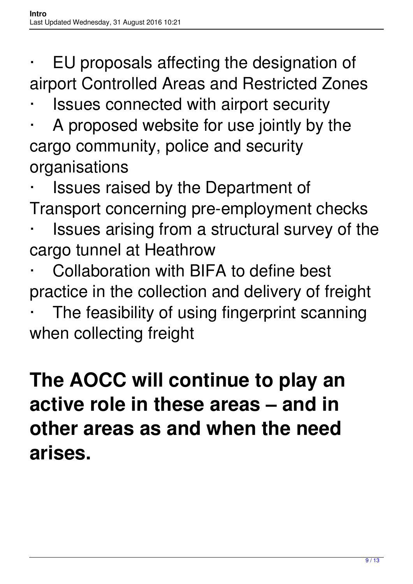- EU proposals affecting the designation of airport Controlled Areas and Restricted Zones
- Issues connected with airport security
- A proposed website for use jointly by the cargo community, police and security organisations
- Issues raised by the Department of Transport concerning pre-employment checks
- Issues arising from a structural survey of the cargo tunnel at Heathrow
- Collaboration with BIFA to define best practice in the collection and delivery of freight
- The feasibility of using fingerprint scanning when collecting freight

# **The AOCC will continue to play an active role in these areas – and in other areas as and when the need arises.**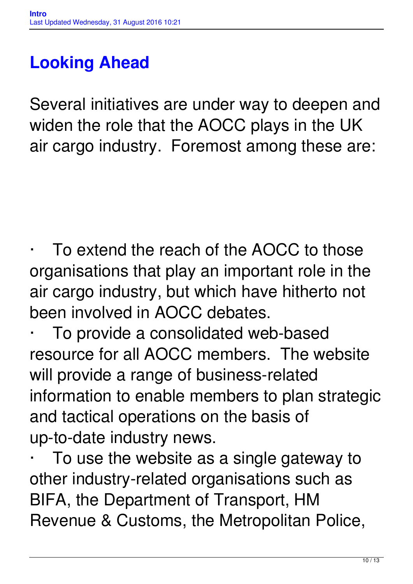# **Looking Ahead**

Several initiatives are under way to deepen and widen the role that the AOCC plays in the UK air cargo industry. Foremost among these are:

To extend the reach of the AOCC to those organisations that play an important role in the air cargo industry, but which have hitherto not been involved in AOCC debates.

To provide a consolidated web-based resource for all AOCC members. The website will provide a range of business-related information to enable members to plan strategic and tactical operations on the basis of up-to-date industry news.

To use the website as a single gateway to other industry-related organisations such as BIFA, the Department of Transport, HM Revenue & Customs, the Metropolitan Police,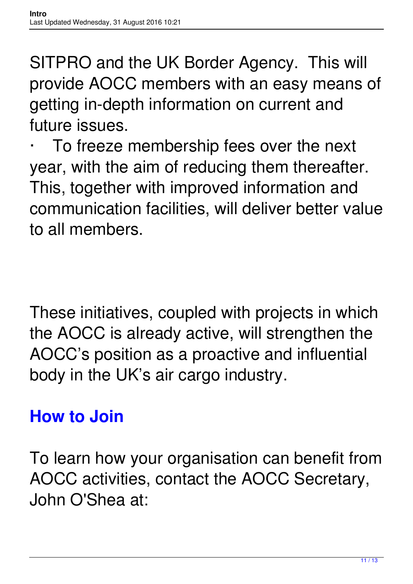SITPRO and the UK Border Agency. This will provide AOCC members with an easy means of getting in-depth information on current and future issues.

To freeze membership fees over the next year, with the aim of reducing them thereafter. This, together with improved information and communication facilities, will deliver better value to all members.

These initiatives, coupled with projects in which the AOCC is already active, will strengthen the AOCC's position as a proactive and influential body in the UK's air cargo industry.

## **How to Join**

To learn how your organisation can benefit from AOCC activities, contact the AOCC Secretary, John O'Shea at: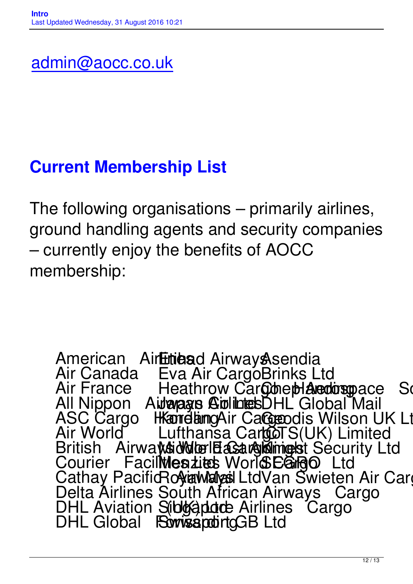# **Current Membership List**

The following organisations – primarily airlines, ground handling agents and security companies – currently enjoy the benefits of AOCC membership:

American Air**Etiaa**d Airway **Asendia** Air Canada Eva Air CargoBrinks Ltd Air France Heathrow Cargonet Aerospace Solutions (UK) Ltd. All Nippon Aida agus Colintes DHL Global Mail ASC Cargo Hamelamg Air Cargoodis Wilson UK Ltd Air World Lufthansa CargoTS(UK) Limited British Airways Noter East Antimest Security Ltd Courier Facilities Lites World EGIGO Ltd Cathay Pacific Royawayas Ltd Van Swieten Air Cargo Delta Airlines South African Airways Cargo DHL Aviation Sibleaporte Airlines Cargo DHL Global Forwissport GB Ltd